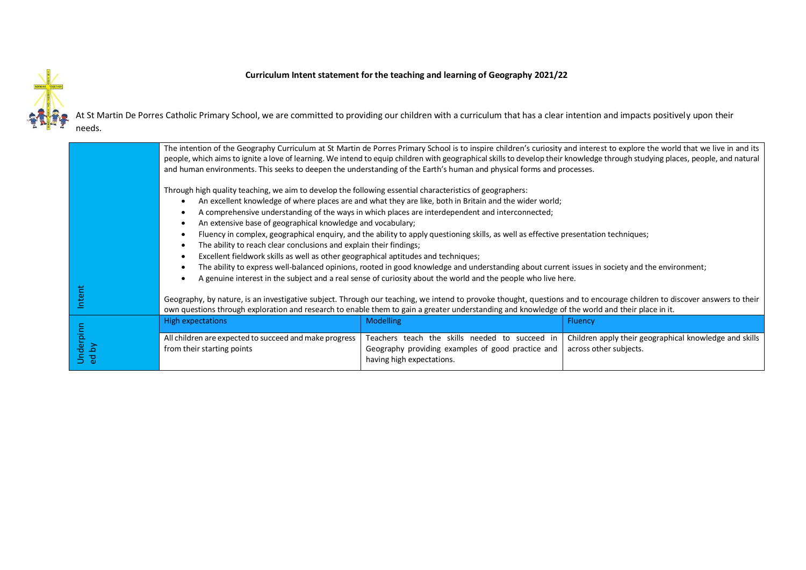

## **Curriculum Intent statement for the teaching and learning of Geography 2021/22**

At St Martin De Porres Catholic Primary School, we are committed to providing our children with a curriculum that has a clear intention and impacts positively upon their needs.

|                              | The intention of the Geography Curriculum at St Martin de Porres Primary School is to inspire children's curiosity and interest to explore the world that we live in and its<br>people, which aims to ignite a love of learning. We intend to equip children with geographical skills to develop their knowledge through studying places, people, and natural<br>and human environments. This seeks to deepen the understanding of the Earth's human and physical forms and processes.                                                                                                                                                                                                                                                                                                                                                                                                                                                                        |                                                                                                                                                      |                                                                                                    |
|------------------------------|---------------------------------------------------------------------------------------------------------------------------------------------------------------------------------------------------------------------------------------------------------------------------------------------------------------------------------------------------------------------------------------------------------------------------------------------------------------------------------------------------------------------------------------------------------------------------------------------------------------------------------------------------------------------------------------------------------------------------------------------------------------------------------------------------------------------------------------------------------------------------------------------------------------------------------------------------------------|------------------------------------------------------------------------------------------------------------------------------------------------------|----------------------------------------------------------------------------------------------------|
|                              | Through high quality teaching, we aim to develop the following essential characteristics of geographers:<br>An excellent knowledge of where places are and what they are like, both in Britain and the wider world;<br>A comprehensive understanding of the ways in which places are interdependent and interconnected;<br>An extensive base of geographical knowledge and vocabulary;<br>Fluency in complex, geographical enquiry, and the ability to apply questioning skills, as well as effective presentation techniques;<br>The ability to reach clear conclusions and explain their findings;<br>Excellent fieldwork skills as well as other geographical aptitudes and techniques;<br>The ability to express well-balanced opinions, rooted in good knowledge and understanding about current issues in society and the environment;<br>A genuine interest in the subject and a real sense of curiosity about the world and the people who live here. |                                                                                                                                                      |                                                                                                    |
| ntent                        | Geography, by nature, is an investigative subject. Through our teaching, we intend to provoke thought, questions and to encourage children to discover answers to their<br>own questions through exploration and research to enable them to gain a greater understanding and knowledge of the world and their place in it.                                                                                                                                                                                                                                                                                                                                                                                                                                                                                                                                                                                                                                    |                                                                                                                                                      |                                                                                                    |
| derpinn<br>$\mathbf{p}$<br>공 | <b>High expectations</b><br>All children are expected to succeed and make progress<br>from their starting points                                                                                                                                                                                                                                                                                                                                                                                                                                                                                                                                                                                                                                                                                                                                                                                                                                              | <b>Modelling</b><br>Teachers teach the skills needed to succeed in<br>Geography providing examples of good practice and<br>having high expectations. | <b>Fluency</b><br>Children apply their geographical knowledge and skills<br>across other subjects. |